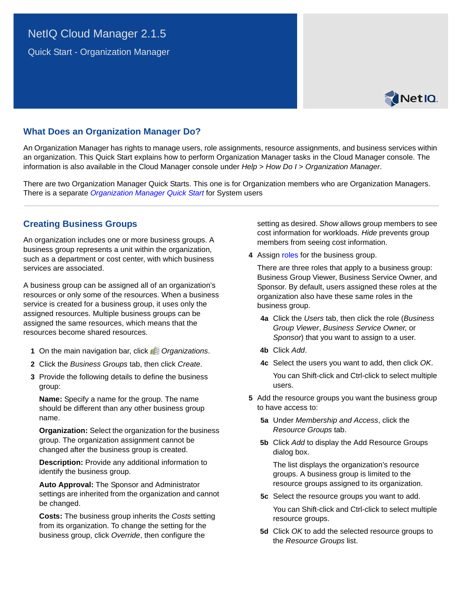# <span id="page-0-0"></span>NetIQ Cloud Manager 2.1.5

Quick Start - Organization Manager



# **What Does an Organization Manager Do?**

An Organization Manager has rights to manage users, role assignments, resource assignments, and business services within an organization. This Quick Start explains how to perform Organization Manager tasks in the Cloud Manager console. The information is also available in the Cloud Manager console under *Help* > *How Do I* > *Organization Manager*.

There are two Organization Manager Quick Starts. This one is for Organization members who are Organization Managers. There is a separate *[Organization Manager Quick Start](#page-0-0)* for System users

### **Creating Business Groups**

An organization includes one or more business groups. A business group represents a unit within the organization, such as a department or cost center, with which business services are associated.

A business group can be assigned all of an organization's resources or only some of the resources. When a business service is created for a business group, it uses only the assigned resources. Multiple business groups can be assigned the same resources, which means that the resources become shared resources.

- **1** On the main navigation bar, click *Organizations*.
- **2** Click the *Business Groups* tab, then click *Create*.
- **3** Provide the following details to define the business group:

**Name:** Specify a name for the group. The name should be different than any other business group name.

**Organization:** Select the organization for the business group. The organization assignment cannot be changed after the business group is created.

**Description:** Provide any additional information to identify the business group.

**Auto Approval:** The Sponsor and Administrator settings are inherited from the organization and cannot be changed.

**Costs:** The business group inherits the *Costs* setting from its organization. To change the setting for the business group, click *Override*, then configure the

setting as desired. *Show* allows group members to see cost information for workloads. *Hide* prevents group members from seeing cost information.

**4** Assign roles for the business group.

There are three roles that apply to a business group: Business Group Viewer, Business Service Owner, and Sponsor. By default, users assigned these roles at the organization also have these same roles in the business group.

- **4a** Click the *Users* tab, then click the role (*Business Group Viewer*, *Business Service Owner,* or *Sponsor*) that you want to assign to a user.
- **4b** Click *Add*.
- **4c** Select the users you want to add, then click *OK*. You can Shift-click and Ctrl-click to select multiple users.
- **5** Add the resource groups you want the business group to have access to:
	- **5a** Under *Membership and Access*, click the *Resource Groups* tab.
	- **5b** Click *Add* to display the Add Resource Groups dialog box.

The list displays the organization's resource groups. A business group is limited to the resource groups assigned to its organization.

**5c** Select the resource groups you want to add.

You can Shift-click and Ctrl-click to select multiple resource groups.

**5d** Click *OK* to add the selected resource groups to the *Resource Groups* list.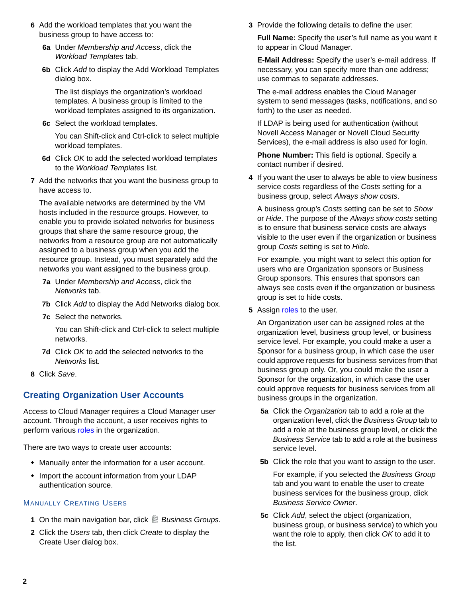- **6** Add the workload templates that you want the business group to have access to:
	- **6a** Under *Membership and Access*, click the *Workload Templates* tab.
	- **6b** Click *Add* to display the Add Workload Templates dialog box.

The list displays the organization's workload templates. A business group is limited to the workload templates assigned to its organization.

**6c** Select the workload templates.

You can Shift-click and Ctrl-click to select multiple workload templates.

- **6d** Click *OK* to add the selected workload templates to the *Workload Templates* list.
- **7** Add the networks that you want the business group to have access to.

The available networks are determined by the VM hosts included in the resource groups. However, to enable you to provide isolated networks for business groups that share the same resource group, the networks from a resource group are not automatically assigned to a business group when you add the resource group. Instead, you must separately add the networks you want assigned to the business group.

- **7a** Under *Membership and Access*, click the *Networks* tab.
- **7b** Click *Add* to display the Add Networks dialog box.
- **7c** Select the networks.

You can Shift-click and Ctrl-click to select multiple networks.

- **7d** Click *OK* to add the selected networks to the *Networks* list.
- **8** Click *Save*.

# **Creating Organization User Accounts**

Access to Cloud Manager requires a Cloud Manager user account. Through the account, a user receives rights to perform various [roles](#page-5-0) in the organization.

There are two ways to create user accounts:

- Manually enter the information for a user account.
- Import the account information from your LDAP authentication source.

#### MANUALLY CREATING USERS

- **1** On the main navigation bar, click *Business Groups*.
- **2** Click the *Users* tab, then click *Create* to display the Create User dialog box.

**3** Provide the following details to define the user:

**Full Name:** Specify the user's full name as you want it to appear in Cloud Manager.

**E-Mail Address:** Specify the user's e-mail address. If necessary, you can specify more than one address; use commas to separate addresses.

The e-mail address enables the Cloud Manager system to send messages (tasks, notifications, and so forth) to the user as needed.

If LDAP is being used for authentication (without Novell Access Manager or Novell Cloud Security Services), the e-mail address is also used for login.

**Phone Number:** This field is optional. Specify a contact number if desired.

**4** If you want the user to always be able to view business service costs regardless of the *Costs* setting for a business group, select *Always show costs*.

A business group's *Costs* setting can be set to *Show* or *Hide*. The purpose of the *Always show costs* setting is to ensure that business service costs are always visible to the user even if the organization or business group *Costs* setting is set to *Hide*.

For example, you might want to select this option for users who are Organization sponsors or Business Group sponsors. This ensures that sponsors can always see costs even if the organization or business group is set to hide costs.

**5** Assign roles to the user.

An Organization user can be assigned roles at the organization level, business group level, or business service level. For example, you could make a user a Sponsor for a business group, in which case the user could approve requests for business services from that business group only. Or, you could make the user a Sponsor for the organization, in which case the user could approve requests for business services from all business groups in the organization.

- **5a** Click the *Organization* tab to add a role at the organization level, click the *Business Group* tab to add a role at the business group level, or click the *Business Service* tab to add a role at the business service level.
- **5b** Click the role that you want to assign to the user.

For example, if you selected the *Business Group* tab and you want to enable the user to create business services for the business group, click *Business Service Owner*.

**5c** Click *Add*, select the object (organization, business group, or business service) to which you want the role to apply, then click *OK* to add it to the list.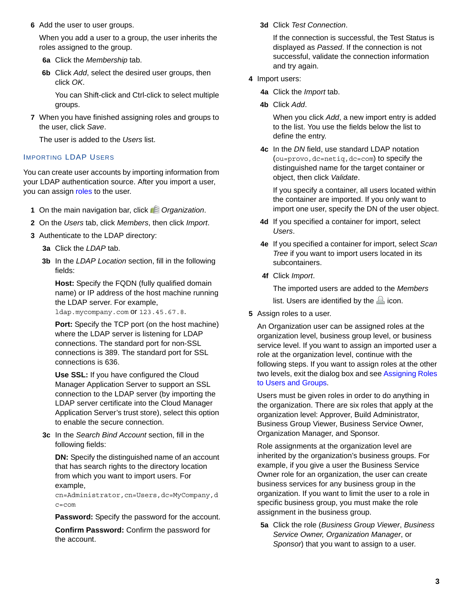**6** Add the user to user groups.

When you add a user to a group, the user inherits the roles assigned to the group.

- **6a** Click the *Membership* tab.
- **6b** Click *Add*, select the desired user groups, then click *OK*.

You can Shift-click and Ctrl-click to select multiple groups.

**7** When you have finished assigning roles and groups to the user, click *Save*.

The user is added to the *Users* list.

#### IMPORTING LDAP USERS

You can create user accounts by importing information from your LDAP authentication source. After you import a user, you can assign [roles](#page-5-0) to the user.

- **1** On the main navigation bar, click *Organization*.
- **2** On the *Users* tab, click *Members*, then click *Import*.
- **3** Authenticate to the LDAP directory:
	- **3a** Click the *LDAP* tab.
	- **3b** In the *LDAP Location* section, fill in the following fields:

**Host:** Specify the FQDN (fully qualified domain name) or IP address of the host machine running the LDAP server. For example,

ldap.mycompany.com or 123.45.67.8.

**Port:** Specify the TCP port (on the host machine) where the LDAP server is listening for LDAP connections. The standard port for non-SSL connections is 389. The standard port for SSL connections is 636.

**Use SSL:** If you have configured the Cloud Manager Application Server to support an SSL connection to the LDAP server (by importing the LDAP server certificate into the Cloud Manager Application Server's trust store), select this option to enable the secure connection.

**3c** In the *Search Bind Account* section, fill in the following fields:

**DN:** Specify the distinguished name of an account that has search rights to the directory location from which you want to import users. For example,

cn=Administrator,cn=Users,dc=MyCompany,d c=com

**Password:** Specify the password for the account.

**Confirm Password:** Confirm the password for the account.

**3d** Click *Test Connection*.

If the connection is successful, the Test Status is displayed as *Passed*. If the connection is not successful, validate the connection information and try again.

- **4** Import users:
	- **4a** Click the *Import* tab.
	- **4b** Click *Add*.

When you click *Add*, a new import entry is added to the list. You use the fields below the list to define the entry.

**4c** In the *DN* field, use standard LDAP notation (ou=provo,dc=netiq,dc=com) to specify the distinguished name for the target container or object, then click *Validate*.

If you specify a container, all users located within the container are imported. If you only want to import one user, specify the DN of the user object.

- **4d** If you specified a container for import, select *Users*.
- **4e** If you specified a container for import, select *Scan Tree* if you want to import users located in its subcontainers.
- **4f** Click *Import*.

The imported users are added to the *Members* list. Users are identified by the  $\triangle$  icon.

**5** Assign roles to a user.

An Organization user can be assigned roles at the organization level, business group level, or business service level. If you want to assign an imported user a role at the organization level, continue with the following steps. If you want to assign roles at the other two levels, exit the dialog box and see [Assigning Roles](#page-5-1)  [to Users and Groups](#page-5-1).

Users must be given roles in order to do anything in the organization. There are six roles that apply at the organization level: Approver, Build Administrator, Business Group Viewer, Business Service Owner, Organization Manager, and Sponsor.

Role assignments at the organization level are inherited by the organization's business groups. For example, if you give a user the Business Service Owner role for an organization, the user can create business services for any business group in the organization. If you want to limit the user to a role in specific business group, you must make the role assignment in the business group.

**5a** Click the role (*Business Group Viewer*, *Business Service Owner, Organization Manager*, or *Sponsor*) that you want to assign to a user.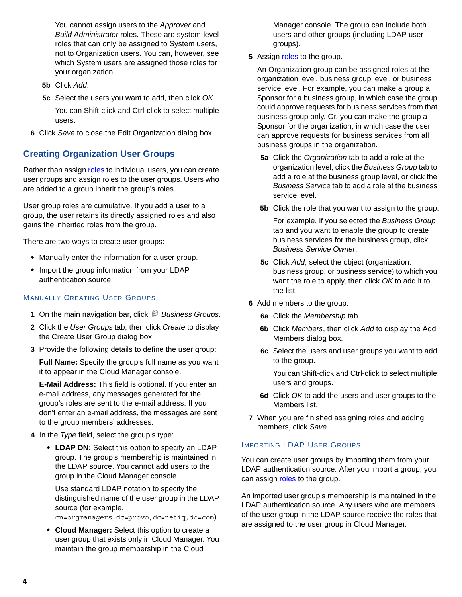You cannot assign users to the *Approver* and *Build Administrator* roles. These are system-level roles that can only be assigned to System users, not to Organization users. You can, however, see which System users are assigned those roles for your organization.

- **5b** Click *Add*.
- **5c** Select the users you want to add, then click *OK*.
- You can Shift-click and Ctrl-click to select multiple users.
- **6** Click *Save* to close the Edit Organization dialog box.

### **Creating Organization User Groups**

Rather than assign [roles](#page-5-0) to individual users, you can create user groups and assign roles to the user groups. Users who are added to a group inherit the group's roles.

User group roles are cumulative. If you add a user to a group, the user retains its directly assigned roles and also gains the inherited roles from the group.

There are two ways to create user groups:

- Manually enter the information for a user group.
- Import the group information from your LDAP authentication source.

#### MANUALLY CREATING USER GROUPS

- **1** On the main navigation bar, click *Business Groups*.
- **2** Click the *User Groups* tab, then click *Create* to display the Create User Group dialog box.
- **3** Provide the following details to define the user group:

**Full Name:** Specify the group's full name as you want it to appear in the Cloud Manager console.

**E-Mail Address:** This field is optional. If you enter an e-mail address, any messages generated for the group's roles are sent to the e-mail address. If you don't enter an e-mail address, the messages are sent to the group members' addresses.

- **4** In the *Type* field, select the group's type:
	- **LDAP DN:** Select this option to specify an LDAP group. The group's membership is maintained in the LDAP source. You cannot add users to the group in the Cloud Manager console.

Use standard LDAP notation to specify the distinguished name of the user group in the LDAP source (for example,

cn=orgmanagers,dc=provo,dc=netiq,dc=com).

 **Cloud Manager:** Select this option to create a user group that exists only in Cloud Manager. You maintain the group membership in the Cloud

Manager console. The group can include both users and other groups (including LDAP user groups).

**5** Assign roles to the group.

An Organization group can be assigned roles at the organization level, business group level, or business service level. For example, you can make a group a Sponsor for a business group, in which case the group could approve requests for business services from that business group only. Or, you can make the group a Sponsor for the organization, in which case the user can approve requests for business services from all business groups in the organization.

- **5a** Click the *Organization* tab to add a role at the organization level, click the *Business Group* tab to add a role at the business group level, or click the *Business Service* tab to add a role at the business service level.
- **5b** Click the role that you want to assign to the group.

For example, if you selected the *Business Group* tab and you want to enable the group to create business services for the business group, click *Business Service Owner*.

- **5c** Click *Add*, select the object (organization, business group, or business service) to which you want the role to apply, then click *OK* to add it to the list.
- **6** Add members to the group:
	- **6a** Click the *Membership* tab.
	- **6b** Click *Members*, then click *Add* to display the Add Members dialog box.
	- **6c** Select the users and user groups you want to add to the group.

You can Shift-click and Ctrl-click to select multiple users and groups.

- **6d** Click *OK* to add the users and user groups to the Members list.
- **7** When you are finished assigning roles and adding members, click *Save*.

#### IMPORTING LDAP USER GROUPS

You can create user groups by importing them from your LDAP authentication source. After you import a group, you can assign [roles](#page-5-0) to the group.

An imported user group's membership is maintained in the LDAP authentication source. Any users who are members of the user group in the LDAP source receive the roles that are assigned to the user group in Cloud Manager.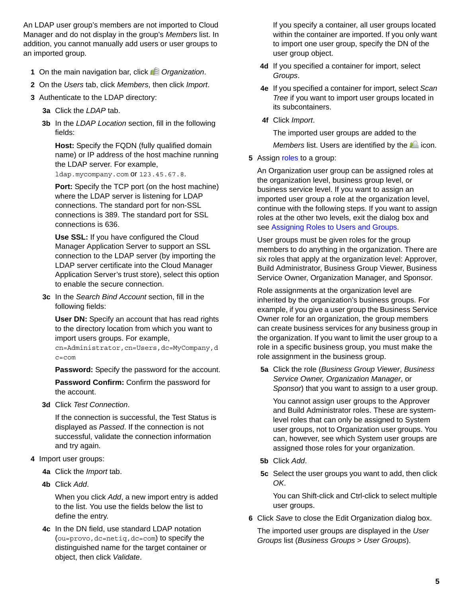An LDAP user group's members are not imported to Cloud Manager and do not display in the group's *Members* list. In addition, you cannot manually add users or user groups to an imported group.

- **1** On the main navigation bar, click *C* Organization.
- **2** On the *Users* tab, click *Members*, then click *Import*.
- **3** Authenticate to the LDAP directory:
	- **3a** Click the *LDAP* tab.
	- **3b** In the *LDAP Location* section, fill in the following fields:

**Host:** Specify the FQDN (fully qualified domain name) or IP address of the host machine running the LDAP server. For example,

ldap.mycompany.com or 123.45.67.8.

**Port:** Specify the TCP port (on the host machine) where the LDAP server is listening for LDAP connections. The standard port for non-SSL connections is 389. The standard port for SSL connections is 636.

**Use SSL:** If you have configured the Cloud Manager Application Server to support an SSL connection to the LDAP server (by importing the LDAP server certificate into the Cloud Manager Application Server's trust store), select this option to enable the secure connection.

**3c** In the *Search Bind Account* section, fill in the following fields:

**User DN:** Specify an account that has read rights to the directory location from which you want to import users groups. For example, cn=Administrator,cn=Users,dc=MyCompany,d

c=com

**Password:** Specify the password for the account.

**Password Confirm:** Confirm the password for the account.

**3d** Click *Test Connection*.

If the connection is successful, the Test Status is displayed as *Passed*. If the connection is not successful, validate the connection information and try again.

- **4** Import user groups:
	- **4a** Click the *Import* tab.
	- **4b** Click *Add*.

When you click *Add*, a new import entry is added to the list. You use the fields below the list to define the entry.

**4c** In the DN field, use standard LDAP notation (ou=provo,dc=netiq,dc=com) to specify the distinguished name for the target container or object, then click *Validate*.

If you specify a container, all user groups located within the container are imported. If you only want to import one user group, specify the DN of the user group object.

- **4d** If you specified a container for import, select *Groups*.
- **4e** If you specified a container for import, select *Scan Tree* if you want to import user groups located in its subcontainers.
- **4f** Click *Import*.

The imported user groups are added to the *Members* list. Users are identified by the  $\triangle$  icon.

**5** Assign roles to a group:

An Organization user group can be assigned roles at the organization level, business group level, or business service level. If you want to assign an imported user group a role at the organization level, continue with the following steps. If you want to assign roles at the other two levels, exit the dialog box and see [Assigning Roles to Users and Groups](#page-5-1).

User groups must be given roles for the group members to do anything in the organization. There are six roles that apply at the organization level: Approver, Build Administrator, Business Group Viewer, Business Service Owner, Organization Manager, and Sponsor.

Role assignments at the organization level are inherited by the organization's business groups. For example, if you give a user group the Business Service Owner role for an organization, the group members can create business services for any business group in the organization. If you want to limit the user group to a role in a specific business group, you must make the role assignment in the business group.

**5a** Click the role (*Business Group Viewer*, *Business Service Owner, Organization Manager*, or *Sponsor*) that you want to assign to a user group.

You cannot assign user groups to the Approver and Build Administrator roles. These are systemlevel roles that can only be assigned to System user groups, not to Organization user groups. You can, however, see which System user groups are assigned those roles for your organization.

- **5b** Click *Add*.
- **5c** Select the user groups you want to add, then click *OK*.

You can Shift-click and Ctrl-click to select multiple user groups.

**6** Click *Save* to close the Edit Organization dialog box.

The imported user groups are displayed in the *User Groups* list (*Business Groups* > *User Groups*).